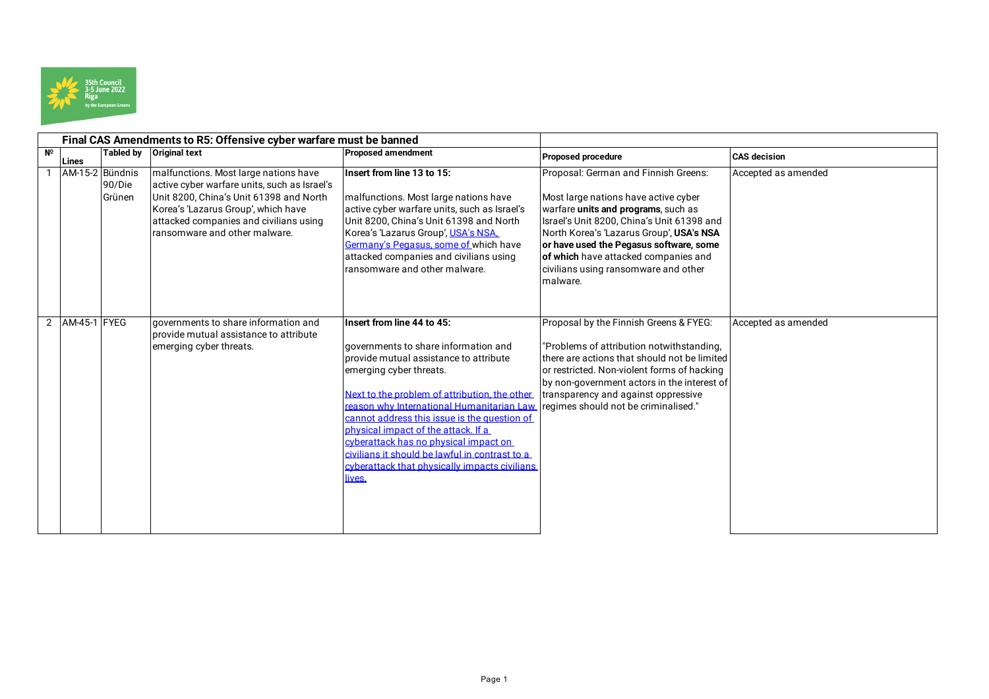

|             |                    |                  | Final CAS Amendments to R5: Offensive cyber warfare must be banned                                                                                                                                                                                 |                                                                                                                                                                                                                                                                                                                                                                                                                                                                                                                         |                                                                                                                                                                                                                                                                                                                                                      |                     |
|-------------|--------------------|------------------|----------------------------------------------------------------------------------------------------------------------------------------------------------------------------------------------------------------------------------------------------|-------------------------------------------------------------------------------------------------------------------------------------------------------------------------------------------------------------------------------------------------------------------------------------------------------------------------------------------------------------------------------------------------------------------------------------------------------------------------------------------------------------------------|------------------------------------------------------------------------------------------------------------------------------------------------------------------------------------------------------------------------------------------------------------------------------------------------------------------------------------------------------|---------------------|
| $N^{\circ}$ | Lines              | Tabled by        | <b>Original text</b>                                                                                                                                                                                                                               | <b>Proposed amendment</b>                                                                                                                                                                                                                                                                                                                                                                                                                                                                                               | <b>Proposed procedure</b>                                                                                                                                                                                                                                                                                                                            | <b>CAS</b> decision |
|             | AM-15-2 Bündnis    | 90/Die<br>Grünen | malfunctions. Most large nations have<br>active cyber warfare units, such as Israel's<br>Unit 8200, China's Unit 61398 and North<br>Korea's 'Lazarus Group', which have<br>attacked companies and civilians using<br>ransomware and other malware. | Insert from line 13 to 15:<br>malfunctions. Most large nations have<br>active cyber warfare units, such as Israel's<br>Unit 8200, China's Unit 61398 and North<br>Korea's 'Lazarus Group', USA's NSA,<br>Germany's Pegasus, some of which have<br>attacked companies and civilians using<br>ransomware and other malware.                                                                                                                                                                                               | Proposal: German and Finnish Greens:<br>Most large nations have active cyber<br>warfare units and programs, such as<br>Israel's Unit 8200, China's Unit 61398 and<br>North Korea's 'Lazarus Group', USA's NSA<br>or have used the Pegasus software, some<br>of which have attacked companies and<br>civilians using ransomware and other<br>malware. | Accepted as amended |
|             | 2   AM-45-1   FYEG |                  | governments to share information and<br>Iprovide mutual assistance to attribute<br>emerging cyber threats.                                                                                                                                         | Insert from line 44 to 45:<br>governments to share information and<br>provide mutual assistance to attribute<br>emerging cyber threats.<br>Next to the problem of attribution, the other<br>reason why International Humanitarian Law regimes should not be criminalised."<br>cannot address this issue is the question of<br>physical impact of the attack. If a<br>cyberattack has no physical impact on<br>civilians it should be lawful in contrast to a<br>cyberattack that physically impacts civilians<br>lives. | Proposal by the Finnish Greens & FYEG:<br>"Problems of attribution notwithstanding,<br>there are actions that should not be limited<br>or restricted. Non-violent forms of hacking<br>by non-government actors in the interest of<br>transparency and against oppressive                                                                             | Accepted as amended |